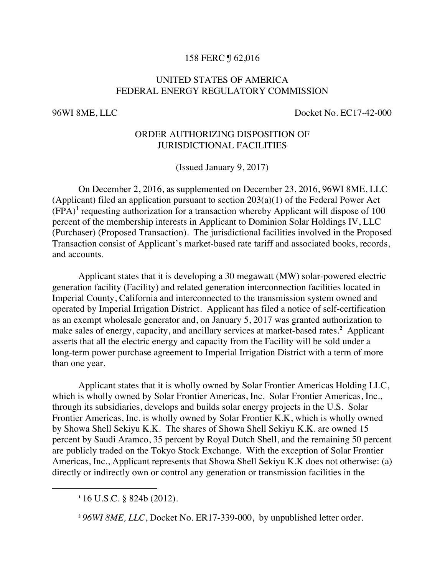## 158 FERC ¶ 62,016

## UNITED STATES OF AMERICA FEDERAL ENERGY REGULATORY COMMISSION

96WI 8ME, LLC Docket No. EC17-42-000

## ORDER AUTHORIZING DISPOSITION OF JURISDICTIONAL FACILITIES

(Issued January 9, 2017)

On December 2, 2016, as supplemented on December 23, 2016, 96WI 8ME, LLC (Applicant) filed an application pursuant to section 203(a)(1) of the Federal Power Act  $(FPA)<sup>1</sup>$  requesting authorization for a transaction whereby Applicant will dispose of 100 percent of the membership interests in Applicant to Dominion Solar Holdings IV, LLC (Purchaser) (Proposed Transaction). The jurisdictional facilities involved in the Proposed Transaction consist of Applicant's market-based rate tariff and associated books, records, and accounts.

Applicant states that it is developing a 30 megawatt (MW) solar-powered electric generation facility (Facility) and related generation interconnection facilities located in Imperial County, California and interconnected to the transmission system owned and operated by Imperial Irrigation District. Applicant has filed a notice of self-certification as an exempt wholesale generator and, on January 5, 2017 was granted authorization to make sales of energy, capacity, and ancillary services at market-based rates.<sup>2</sup> Applicant asserts that all the electric energy and capacity from the Facility will be sold under a long-term power purchase agreement to Imperial Irrigation District with a term of more than one year.

Applicant states that it is wholly owned by Solar Frontier Americas Holding LLC, which is wholly owned by Solar Frontier Americas, Inc. Solar Frontier Americas, Inc., through its subsidiaries, develops and builds solar energy projects in the U.S. Solar Frontier Americas, Inc. is wholly owned by Solar Frontier K.K, which is wholly owned by Showa Shell Sekiyu K.K. The shares of Showa Shell Sekiyu K.K. are owned 15 percent by Saudi Aramco, 35 percent by Royal Dutch Shell, and the remaining 50 percent are publicly traded on the Tokyo Stock Exchange. With the exception of Solar Frontier Americas, Inc., Applicant represents that Showa Shell Sekiyu K.K does not otherwise: (a) directly or indirectly own or control any generation or transmission facilities in the

 $\overline{a}$ 

**<sup>1</sup>** 16 U.S.C. § 824b (2012).

**<sup>2</sup>** *96WI 8ME, LLC*, Docket No. ER17-339-000, by unpublished letter order.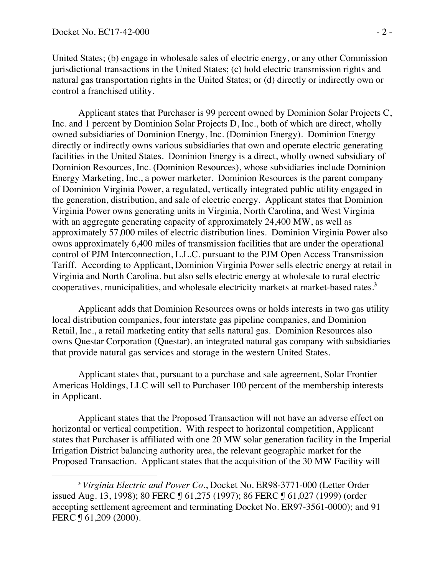$\overline{a}$ 

United States; (b) engage in wholesale sales of electric energy, or any other Commission jurisdictional transactions in the United States; (c) hold electric transmission rights and natural gas transportation rights in the United States; or (d) directly or indirectly own or control a franchised utility.

Applicant states that Purchaser is 99 percent owned by Dominion Solar Projects C, Inc. and 1 percent by Dominion Solar Projects D, Inc., both of which are direct, wholly owned subsidiaries of Dominion Energy, Inc. (Dominion Energy). Dominion Energy directly or indirectly owns various subsidiaries that own and operate electric generating facilities in the United States. Dominion Energy is a direct, wholly owned subsidiary of Dominion Resources, Inc. (Dominion Resources), whose subsidiaries include Dominion Energy Marketing, Inc., a power marketer. Dominion Resources is the parent company of Dominion Virginia Power, a regulated, vertically integrated public utility engaged in the generation, distribution, and sale of electric energy. Applicant states that Dominion Virginia Power owns generating units in Virginia, North Carolina, and West Virginia with an aggregate generating capacity of approximately 24,400 MW, as well as approximately 57,000 miles of electric distribution lines. Dominion Virginia Power also owns approximately 6,400 miles of transmission facilities that are under the operational control of PJM Interconnection, L.L.C. pursuant to the PJM Open Access Transmission Tariff. According to Applicant, Dominion Virginia Power sells electric energy at retail in Virginia and North Carolina, but also sells electric energy at wholesale to rural electric cooperatives, municipalities, and wholesale electricity markets at market-based rates.<sup>3</sup>

Applicant adds that Dominion Resources owns or holds interests in two gas utility local distribution companies, four interstate gas pipeline companies, and Dominion Retail, Inc., a retail marketing entity that sells natural gas. Dominion Resources also owns Questar Corporation (Questar), an integrated natural gas company with subsidiaries that provide natural gas services and storage in the western United States.

Applicant states that, pursuant to a purchase and sale agreement, Solar Frontier Americas Holdings, LLC will sell to Purchaser 100 percent of the membership interests in Applicant.

Applicant states that the Proposed Transaction will not have an adverse effect on horizontal or vertical competition. With respect to horizontal competition, Applicant states that Purchaser is affiliated with one 20 MW solar generation facility in the Imperial Irrigation District balancing authority area, the relevant geographic market for the Proposed Transaction. Applicant states that the acquisition of the 30 MW Facility will

**<sup>3</sup>** *Virginia Electric and Power Co.*, Docket No. ER98-3771-000 (Letter Order issued Aug. 13, 1998); 80 FERC ¶ 61,275 (1997); 86 FERC ¶ 61,027 (1999) (order accepting settlement agreement and terminating Docket No. ER97-3561-0000); and 91 FERC ¶ 61,209 (2000).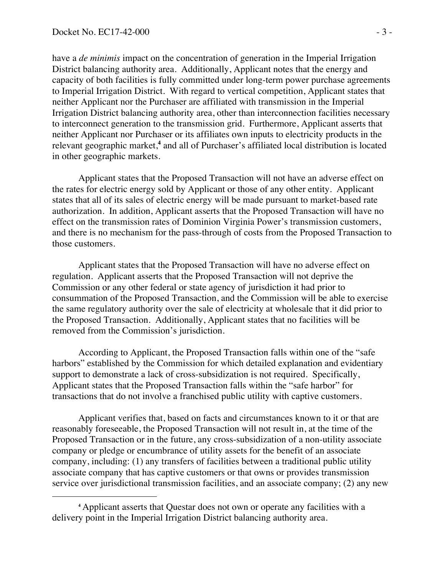$\overline{a}$ 

have a *de minimis* impact on the concentration of generation in the Imperial Irrigation District balancing authority area. Additionally, Applicant notes that the energy and capacity of both facilities is fully committed under long-term power purchase agreements to Imperial Irrigation District. With regard to vertical competition, Applicant states that neither Applicant nor the Purchaser are affiliated with transmission in the Imperial Irrigation District balancing authority area, other than interconnection facilities necessary to interconnect generation to the transmission grid. Furthermore, Applicant asserts that neither Applicant nor Purchaser or its affiliates own inputs to electricity products in the relevant geographic market,<sup>4</sup> and all of Purchaser's affiliated local distribution is located in other geographic markets.

Applicant states that the Proposed Transaction will not have an adverse effect on the rates for electric energy sold by Applicant or those of any other entity. Applicant states that all of its sales of electric energy will be made pursuant to market-based rate authorization. In addition, Applicant asserts that the Proposed Transaction will have no effect on the transmission rates of Dominion Virginia Power's transmission customers, and there is no mechanism for the pass-through of costs from the Proposed Transaction to those customers.

Applicant states that the Proposed Transaction will have no adverse effect on regulation. Applicant asserts that the Proposed Transaction will not deprive the Commission or any other federal or state agency of jurisdiction it had prior to consummation of the Proposed Transaction, and the Commission will be able to exercise the same regulatory authority over the sale of electricity at wholesale that it did prior to the Proposed Transaction. Additionally, Applicant states that no facilities will be removed from the Commission's jurisdiction.

According to Applicant, the Proposed Transaction falls within one of the "safe harbors" established by the Commission for which detailed explanation and evidentiary support to demonstrate a lack of cross-subsidization is not required. Specifically, Applicant states that the Proposed Transaction falls within the "safe harbor" for transactions that do not involve a franchised public utility with captive customers.

Applicant verifies that, based on facts and circumstances known to it or that are reasonably foreseeable, the Proposed Transaction will not result in, at the time of the Proposed Transaction or in the future, any cross-subsidization of a non-utility associate company or pledge or encumbrance of utility assets for the benefit of an associate company, including: (1) any transfers of facilities between a traditional public utility associate company that has captive customers or that owns or provides transmission service over jurisdictional transmission facilities, and an associate company; (2) any new

**<sup>4</sup>** Applicant asserts that Questar does not own or operate any facilities with a delivery point in the Imperial Irrigation District balancing authority area.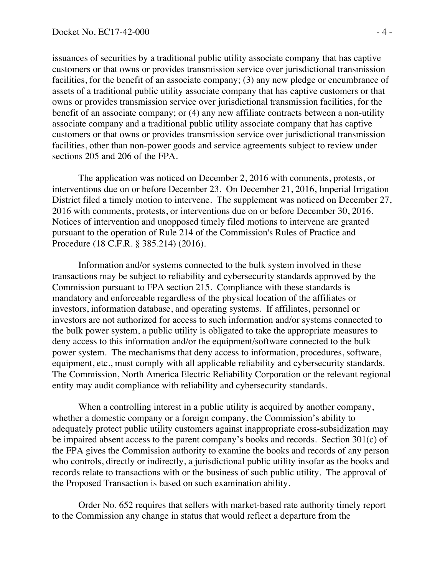issuances of securities by a traditional public utility associate company that has captive customers or that owns or provides transmission service over jurisdictional transmission facilities, for the benefit of an associate company; (3) any new pledge or encumbrance of assets of a traditional public utility associate company that has captive customers or that owns or provides transmission service over jurisdictional transmission facilities, for the benefit of an associate company; or (4) any new affiliate contracts between a non-utility associate company and a traditional public utility associate company that has captive customers or that owns or provides transmission service over jurisdictional transmission facilities, other than non-power goods and service agreements subject to review under sections 205 and 206 of the FPA.

The application was noticed on December 2, 2016 with comments, protests, or interventions due on or before December 23. On December 21, 2016, Imperial Irrigation District filed a timely motion to intervene. The supplement was noticed on December 27, 2016 with comments, protests, or interventions due on or before December 30, 2016. Notices of intervention and unopposed timely filed motions to intervene are granted pursuant to the operation of Rule 214 of the Commission's Rules of Practice and Procedure (18 C.F.R. § 385.214) (2016).

Information and/or systems connected to the bulk system involved in these transactions may be subject to reliability and cybersecurity standards approved by the Commission pursuant to FPA section 215. Compliance with these standards is mandatory and enforceable regardless of the physical location of the affiliates or investors, information database, and operating systems. If affiliates, personnel or investors are not authorized for access to such information and/or systems connected to the bulk power system, a public utility is obligated to take the appropriate measures to deny access to this information and/or the equipment/software connected to the bulk power system. The mechanisms that deny access to information, procedures, software, equipment, etc., must comply with all applicable reliability and cybersecurity standards. The Commission, North America Electric Reliability Corporation or the relevant regional entity may audit compliance with reliability and cybersecurity standards.

When a controlling interest in a public utility is acquired by another company, whether a domestic company or a foreign company, the Commission's ability to adequately protect public utility customers against inappropriate cross-subsidization may be impaired absent access to the parent company's books and records. Section 301(c) of the FPA gives the Commission authority to examine the books and records of any person who controls, directly or indirectly, a jurisdictional public utility insofar as the books and records relate to transactions with or the business of such public utility. The approval of the Proposed Transaction is based on such examination ability.

Order No. 652 requires that sellers with market-based rate authority timely report to the Commission any change in status that would reflect a departure from the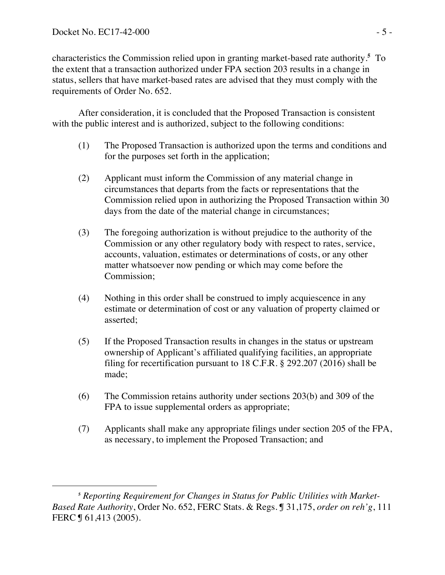characteristics the Commission relied upon in granting market-based rate authority.**<sup>5</sup>** To the extent that a transaction authorized under FPA section 203 results in a change in status, sellers that have market-based rates are advised that they must comply with the requirements of Order No. 652.

After consideration, it is concluded that the Proposed Transaction is consistent with the public interest and is authorized, subject to the following conditions:

- (1) The Proposed Transaction is authorized upon the terms and conditions and for the purposes set forth in the application;
- (2) Applicant must inform the Commission of any material change in circumstances that departs from the facts or representations that the Commission relied upon in authorizing the Proposed Transaction within 30 days from the date of the material change in circumstances;
- (3) The foregoing authorization is without prejudice to the authority of the Commission or any other regulatory body with respect to rates, service, accounts, valuation, estimates or determinations of costs, or any other matter whatsoever now pending or which may come before the Commission;
- (4) Nothing in this order shall be construed to imply acquiescence in any estimate or determination of cost or any valuation of property claimed or asserted;
- (5) If the Proposed Transaction results in changes in the status or upstream ownership of Applicant's affiliated qualifying facilities, an appropriate filing for recertification pursuant to 18 C.F.R. § 292.207 (2016) shall be made;
- (6) The Commission retains authority under sections 203(b) and 309 of the FPA to issue supplemental orders as appropriate;
- (7) Applicants shall make any appropriate filings under section 205 of the FPA, as necessary, to implement the Proposed Transaction; and

 $\overline{a}$ **<sup>5</sup>** *Reporting Requirement for Changes in Status for Public Utilities with Market-Based Rate Authority*, Order No. 652, FERC Stats. & Regs. ¶ 31,175, *order on reh'g*, 111 FERC ¶ 61,413 (2005).